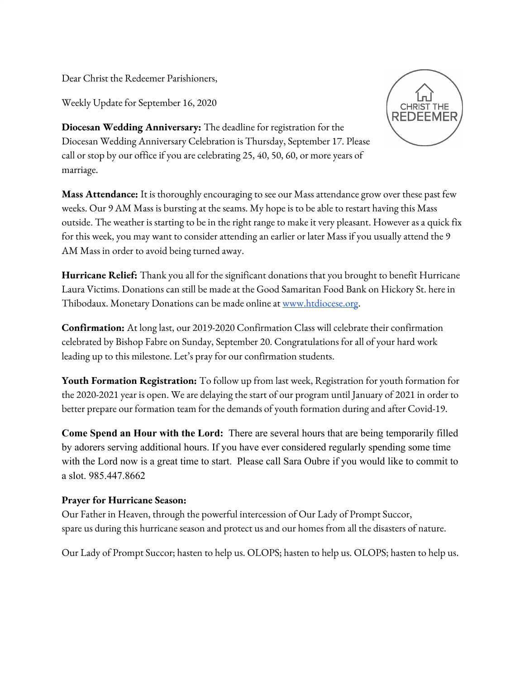Dear Christ the Redeemer Parishioners,

Weekly Update for September 16, 2020



**Diocesan Wedding Anniversary:** The deadline for registration for the Diocesan Wedding Anniversary Celebration is Thursday, September 17. Please call or stop by our office if you are celebrating 25, 40, 50, 60, or more years of marriage.

**Mass Attendance:** It is thoroughly encouraging to see our Mass attendance grow over these past few weeks. Our 9 AM Mass is bursting at the seams. My hope is to be able to restart having this Mass outside. The weather is starting to be in the right range to make it very pleasant. However as a quick fix for this week, you may want to consider attending an earlier or later Mass if you usually attend the 9 AM Mass in order to avoid being turned away.

**Hurricane Relief:** Thank you all for the significant donations that you brought to benefit Hurricane Laura Victims. Donations can still be made at the Good Samaritan Food Bank on Hickory St. here in Thibodaux. Monetary Donations can be made online at [www.htdiocese.org.](http://www.htdiocese.org/)

**Confirmation:** At long last, our 2019-2020 Confirmation Class will celebrate their confirmation celebrated by Bishop Fabre on Sunday, September 20. Congratulations for all of your hard work leading up to this milestone. Let's pray for our confirmation students.

**Youth Formation Registration:** To follow up from last week, Registration for youth formation for the 2020-2021 year is open. We are delaying the start of our program until January of 2021 in order to better prepare our formation team for the demands of youth formation during and after Covid-19.

**Come Spend an Hour with the Lord:** There are several hours that are being temporarily filled by adorers serving additional hours. If you have ever considered regularly spending some time with the Lord now is a great time to start. Please call Sara Oubre if you would like to commit to a slot. 985.447.8662

## **Prayer for Hurricane Season:**

Our Father in Heaven, through the powerful intercession of Our Lady of Prompt Succor, spare us during this hurricane season and protect us and our homes from all the disasters of nature.

Our Lady of Prompt Succor; hasten to help us. OLOPS; hasten to help us. OLOPS; hasten to help us.